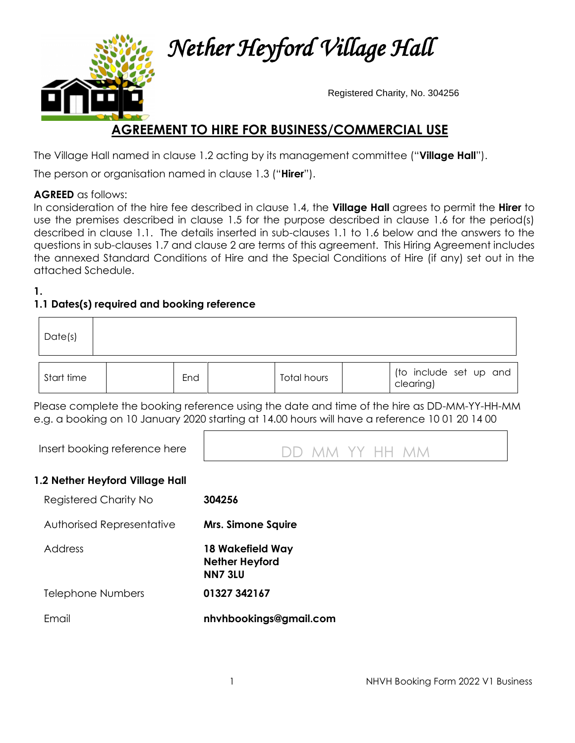

 *Nether Heyford Village Hall* 

Registered Charity, No. 304256

# **AGREEMENT TO HIRE FOR BUSINESS/COMMERCIAL USE**

The Village Hall named in clause 1.2 acting by its management committee ("**Village Hall**").

The person or organisation named in clause 1.3 ("**Hirer**").

#### **AGREED** as follows:

In consideration of the hire fee described in clause 1.4, the **Village Hall** agrees to permit the **Hirer** to use the premises described in clause 1.5 for the purpose described in clause 1.6 for the period(s) described in clause 1.1. The details inserted in sub-clauses 1.1 to 1.6 below and the answers to the questions in sub-clauses 1.7 and clause 2 are terms of this agreement. This Hiring Agreement includes the annexed Standard Conditions of Hire and the Special Conditions of Hire (if any) set out in the attached Schedule.

#### **1.**

# **1.1 Dates(s) required and booking reference**

| Date(s)    |     |             |                                     |
|------------|-----|-------------|-------------------------------------|
| Start time | End | Total hours | (to include set up and<br>clearing) |

Please complete the booking reference using the date and time of the hire as DD-MM-YY-HH-MM e.g. a booking on 10 January 2020 starting at 14.00 hours will have a reference 10 01 20 14 00



#### **1.2 Nether Heyford Village Hall**

| Registered Charity No     | 304256                                                      |
|---------------------------|-------------------------------------------------------------|
| Authorised Representative | <b>Mrs. Simone Squire</b>                                   |
| Address                   | 18 Wakefield Way<br><b>Nether Heyford</b><br><b>NN7 3LU</b> |
| Telephone Numbers         | 01327 342167                                                |
| Fmail                     | nhvhbookings@gmail.com                                      |
|                           |                                                             |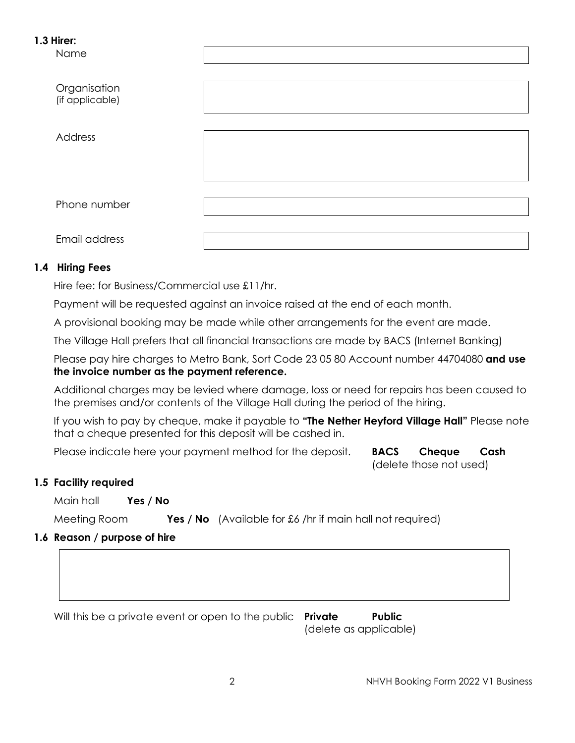#### **1.3 Hirer:**

Name

| Organisation<br>(if applicable) |  |
|---------------------------------|--|
| Address                         |  |
| Phone number                    |  |
| Email address                   |  |

## **1.4 Hiring Fees**

Hire fee: for Business/Commercial use £11/hr.

Payment will be requested against an invoice raised at the end of each month.

A provisional booking may be made while other arrangements for the event are made.

The Village Hall prefers that all financial transactions are made by BACS (Internet Banking)

Please pay hire charges to Metro Bank, Sort Code 23 05 80 Account number 44704080 **and use the invoice number as the payment reference.**

Additional charges may be levied where damage, loss or need for repairs has been caused to the premises and/or contents of the Village Hall during the period of the hiring.

If you wish to pay by cheque, make it payable to **"The Nether Heyford Village Hall"** Please note that a cheque presented for this deposit will be cashed in.

Please indicate here your payment method for the deposit. **BACS Cheque Cash** 

(delete those not used)

#### **1.5 Facility required**

Main hall **Yes / No**

Meeting Room **Yes / No** (Available for £6 /hr if main hall not required)

# **1.6 Reason / purpose of hire**

Will this be a private event or open to the public **Private Public**

(delete as applicable)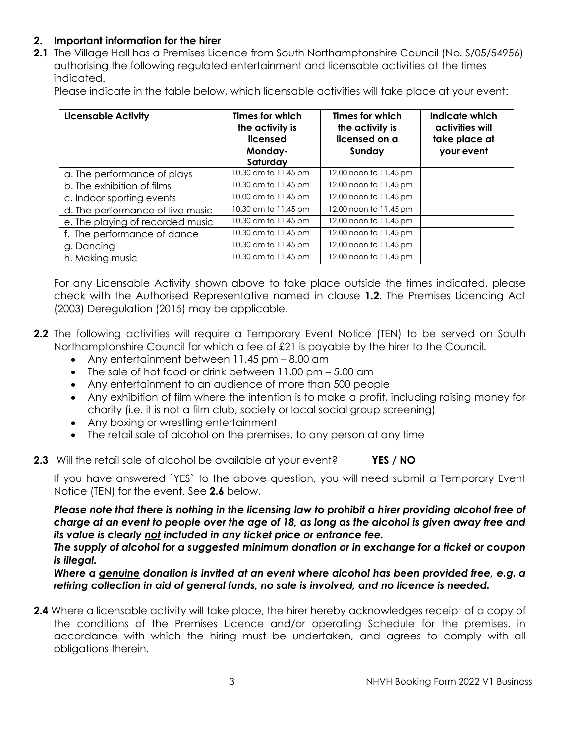### **2. Important information for the hirer**

**2.1** The Village Hall has a Premises Licence from South Northamptonshire Council (No. S/05/54956) authorising the following regulated entertainment and licensable activities at the times indicated.

Please indicate in the table below, which licensable activities will take place at your event:

| <b>Licensable Activity</b>       | Times for which<br>the activity is<br>licensed<br>Monday-<br>Saturday | Times for which<br>the activity is<br>licensed on a<br>Sunday | Indicate which<br>activities will<br>take place at<br>your event |
|----------------------------------|-----------------------------------------------------------------------|---------------------------------------------------------------|------------------------------------------------------------------|
| a. The performance of plays      | 10.30 am to 11.45 pm                                                  | 12.00 noon to 11.45 pm                                        |                                                                  |
| b. The exhibition of films       | 10.30 am to 11.45 pm                                                  | 12.00 noon to 11.45 pm                                        |                                                                  |
| c. Indoor sporting events        | 10.00 am to 11.45 pm                                                  | 12.00 noon to 11.45 pm                                        |                                                                  |
| d. The performance of live music | 10.30 am to 11.45 pm                                                  | 12.00 noon to 11.45 pm                                        |                                                                  |
| e. The playing of recorded music | 10.30 am to 11.45 pm                                                  | 12.00 noon to 11.45 pm                                        |                                                                  |
| f. The performance of dance      | 10.30 am to 11.45 pm                                                  | 12.00 noon to 11.45 pm                                        |                                                                  |
| g. Dancing                       | 10.30 am to 11.45 pm                                                  | 12.00 noon to 11.45 pm                                        |                                                                  |
| h. Making music                  | 10.30 am to 11.45 pm                                                  | 12.00 noon to 11.45 pm                                        |                                                                  |

For any Licensable Activity shown above to take place outside the times indicated, please check with the Authorised Representative named in clause **1.2**. The Premises Licencing Act (2003) Deregulation (2015) may be applicable.

- **2.2** The following activities will require a Temporary Event Notice (TEN) to be served on South Northamptonshire Council for which a fee of £21 is payable by the hirer to the Council.
	- Any entertainment between 11.45 pm 8.00 am
	- The sale of hot food or drink between 11.00 pm 5.00 am
	- Any entertainment to an audience of more than 500 people
	- Any exhibition of film where the intention is to make a profit, including raising money for charity (i.e. it is not a film club, society or local social group screening)
	- Any boxing or wrestling entertainment
	- The retail sale of alcohol on the premises, to any person at any time
- **2.3** Will the retail sale of alcohol be available at your event? **YES / NO**

If you have answered `YES` to the above question, you will need submit a Temporary Event Notice (TEN) for the event. See **2.6** below.

*Please note that there is nothing in the licensing law to prohibit a hirer providing alcohol free of charge at an event to people over the age of 18, as long as the alcohol is given away free and its value is clearly not included in any ticket price or entrance fee.* 

*The supply of alcohol for a suggested minimum donation or in exchange for a ticket or coupon is illegal.*

*Where a genuine donation is invited at an event where alcohol has been provided free, e.g. a retiring collection in aid of general funds, no sale is involved, and no licence is needed.*

**2.4** Where a licensable activity will take place, the hirer hereby acknowledges receipt of a copy of the conditions of the Premises Licence and/or operating Schedule for the premises, in accordance with which the hiring must be undertaken, and agrees to comply with all obligations therein.